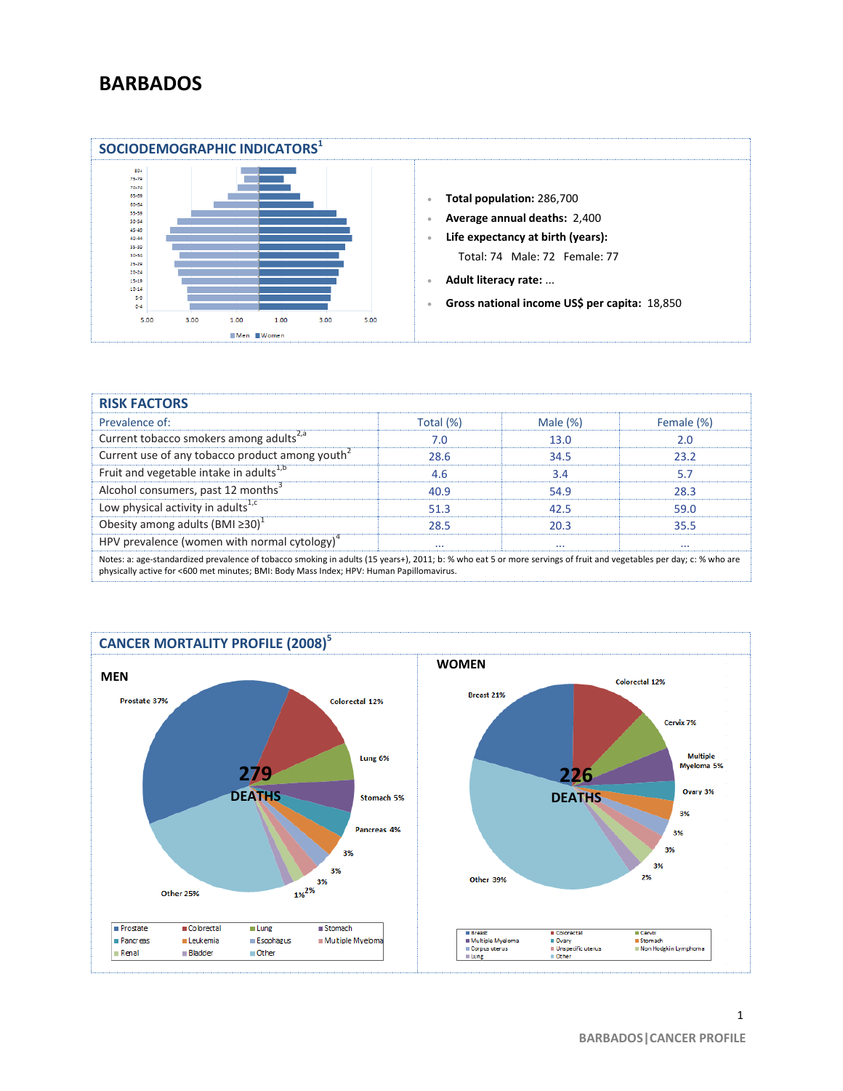## **BARBADOS**



| <b>RISK FACTORS</b>                                                                                                                                                 |           |             |            |
|---------------------------------------------------------------------------------------------------------------------------------------------------------------------|-----------|-------------|------------|
| Prevalence of:                                                                                                                                                      | Total (%) | Male $(\%)$ | Female (%) |
| Current tobacco smokers among adults <sup>2,a</sup>                                                                                                                 | 7.0       | 13.0        | 2.0        |
| Current use of any tobacco product among youth <sup>2</sup>                                                                                                         | 28.6      | 34.5        | 23.2       |
| Fruit and vegetable intake in adults <sup>1,b</sup>                                                                                                                 | 4.6       | 3.4         | 5.7        |
| Alcohol consumers, past 12 months <sup>3</sup>                                                                                                                      | 40.9      | 54.9        | 28.3       |
| Low physical activity in adults <sup>1,c</sup>                                                                                                                      | 51.3      | 42.5        | 59.0       |
| Obesity among adults (BMI $\geq 30$ ) <sup>1</sup>                                                                                                                  | 28.5      | 20.3        | 35.5       |
| HPV prevalence (women with normal cytology) $4$                                                                                                                     | $\cdots$  | $\cdots$    | $\cdots$   |
| Notes: a: age-standardized prevalence of tobacco smoking in adults (15 years+), 2011; b: % who eat 5 or more servings of fruit and vegetables per day; c: % who are |           |             |            |

physically active for <600 met minutes; BMI: Body Mass Index; HPV: Human Papillomavirus.



1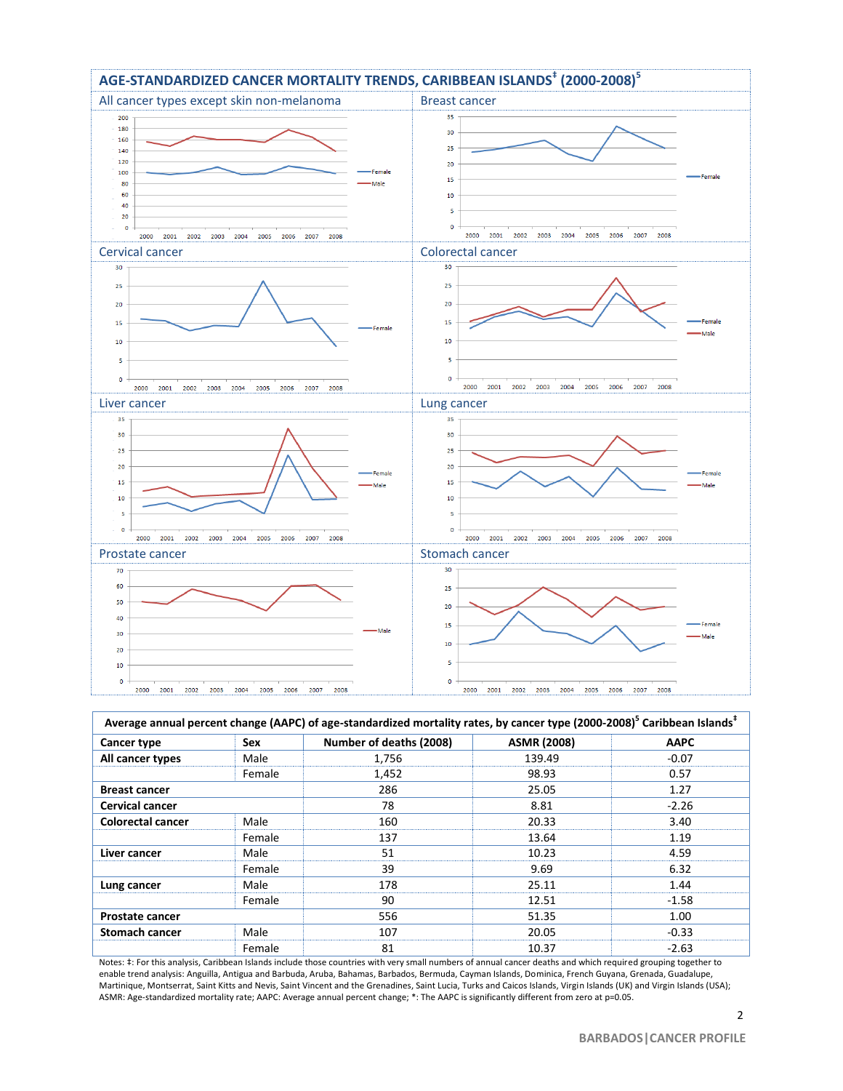

| Average annual percent change (AAPC) of age-standardized mortality rates, by cancer type (2000-2008) <sup>5</sup> Caribbean Islands <sup>*</sup> |        |                         |                    |             |
|--------------------------------------------------------------------------------------------------------------------------------------------------|--------|-------------------------|--------------------|-------------|
| Cancer type                                                                                                                                      | Sex    | Number of deaths (2008) | <b>ASMR (2008)</b> | <b>AAPC</b> |
| All cancer types                                                                                                                                 | Male   | 1,756                   | 139.49             | $-0.07$     |
|                                                                                                                                                  | Female | 1,452                   | 98.93              | 0.57        |
| <b>Breast cancer</b>                                                                                                                             |        | 286                     | 25.05              | 1.27        |
| <b>Cervical cancer</b>                                                                                                                           |        | 78                      | 8.81               | $-2.26$     |
| <b>Colorectal cancer</b>                                                                                                                         | Male   | 160                     | 20.33              | 3.40        |
|                                                                                                                                                  | Female | 137                     | 13.64              | 1.19        |
| Liver cancer                                                                                                                                     | Male   | 51                      | 10.23              | 4.59        |
|                                                                                                                                                  | Female | 39                      | 9.69               | 6.32        |
| Lung cancer                                                                                                                                      | Male   | 178                     | 25.11              | 1.44        |
|                                                                                                                                                  | Female | 90                      | 12.51              | $-1.58$     |
| <b>Prostate cancer</b>                                                                                                                           |        | 556                     | 51.35              | 1.00        |
| <b>Stomach cancer</b>                                                                                                                            | Male   | 107                     | 20.05              | $-0.33$     |
|                                                                                                                                                  | Female | 81                      | 10.37              | $-2.63$     |

Notes: ‡: For this analysis, Caribbean Islands include those countries with very small numbers of annual cancer deaths and which required grouping together to enable trend analysis: Anguilla, Antigua and Barbuda, Aruba, Bahamas, Barbados, Bermuda, Cayman Islands, Dominica, French Guyana, Grenada, Guadalupe, Martinique, Montserrat, Saint Kitts and Nevis, Saint Vincent and the Grenadines, Saint Lucia, Turks and Caicos Islands, Virgin Islands (UK) and Virgin Islands (USA); ASMR: Age-standardized mortality rate; AAPC: Average annual percent change; \*: The AAPC is significantly different from zero at p=0.05.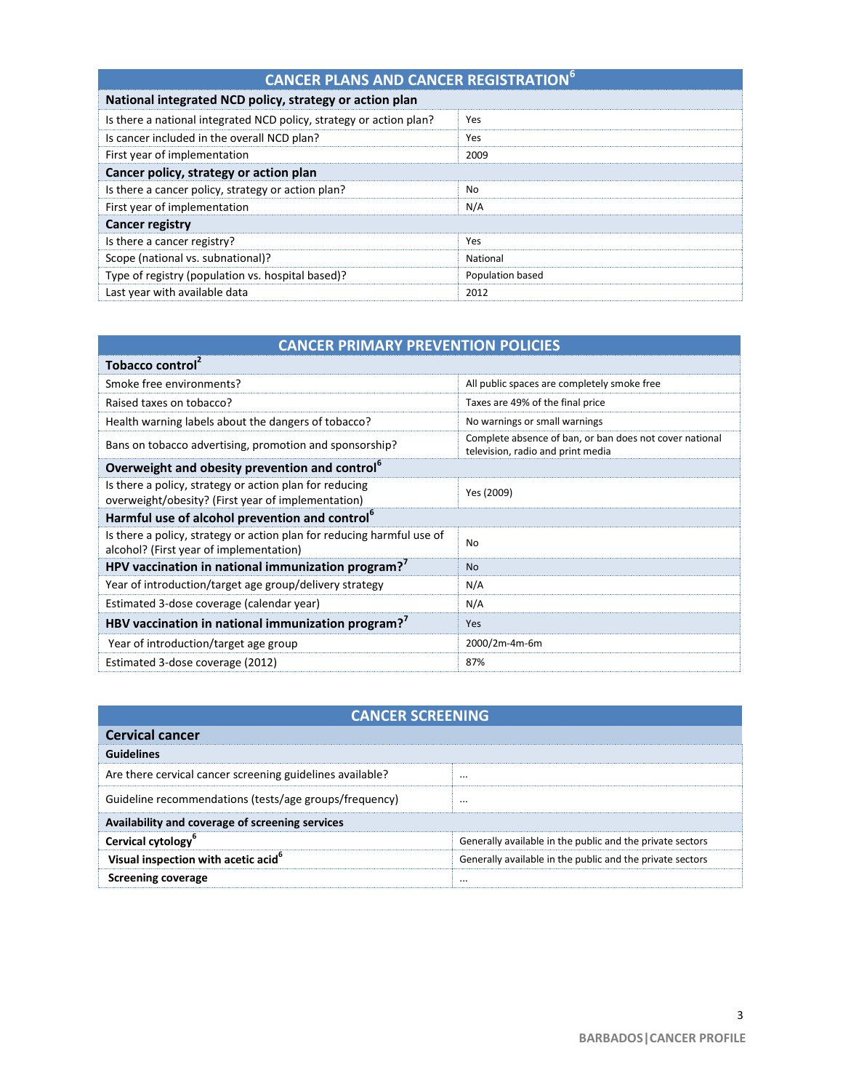| <b>CANCER PLANS AND CANCER REGISTRATION<sup>6</sup></b>             |                  |  |  |
|---------------------------------------------------------------------|------------------|--|--|
| National integrated NCD policy, strategy or action plan             |                  |  |  |
| Is there a national integrated NCD policy, strategy or action plan? | Yes              |  |  |
| Is cancer included in the overall NCD plan?                         | Yes              |  |  |
| First year of implementation                                        | 2009             |  |  |
| Cancer policy, strategy or action plan                              |                  |  |  |
| Is there a cancer policy, strategy or action plan?                  | No.              |  |  |
| First year of implementation                                        | N/A              |  |  |
| <b>Cancer registry</b>                                              |                  |  |  |
| Is there a cancer registry?                                         | Yes              |  |  |
| Scope (national vs. subnational)?                                   | National         |  |  |
| Type of registry (population vs. hospital based)?                   | Population based |  |  |
| Last year with available data                                       | 2012             |  |  |

|  | <b>CANCER PRIMARY PREVENTION POLICIES</b> |
|--|-------------------------------------------|
|  |                                           |

| Tobacco control <sup>2</sup>                                                                                      |                                                                                              |
|-------------------------------------------------------------------------------------------------------------------|----------------------------------------------------------------------------------------------|
| Smoke free environments?                                                                                          | All public spaces are completely smoke free                                                  |
| Raised taxes on tobacco?                                                                                          | Taxes are 49% of the final price                                                             |
| Health warning labels about the dangers of tobacco?                                                               | No warnings or small warnings                                                                |
| Bans on tobacco advertising, promotion and sponsorship?                                                           | Complete absence of ban, or ban does not cover national<br>television, radio and print media |
| Overweight and obesity prevention and control <sup>b</sup>                                                        |                                                                                              |
| Is there a policy, strategy or action plan for reducing<br>overweight/obesity? (First year of implementation)     | Yes (2009)                                                                                   |
| Harmful use of alcohol prevention and control <sup>6</sup>                                                        |                                                                                              |
| Is there a policy, strategy or action plan for reducing harmful use of<br>alcohol? (First year of implementation) | N <sub>0</sub>                                                                               |
| HPV vaccination in national immunization program? <sup>7</sup>                                                    | N <sub>o</sub>                                                                               |
| Year of introduction/target age group/delivery strategy                                                           | N/A                                                                                          |
| Estimated 3-dose coverage (calendar year)                                                                         | N/A                                                                                          |
| HBV vaccination in national immunization program? <sup>7</sup>                                                    | Yes                                                                                          |
| Year of introduction/target age group                                                                             | 2000/2m-4m-6m                                                                                |
| Estimated 3-dose coverage (2012)                                                                                  | 87%                                                                                          |

| <b>CANCER SCREENING</b>                                   |                                                           |  |
|-----------------------------------------------------------|-----------------------------------------------------------|--|
| <b>Cervical cancer</b>                                    |                                                           |  |
| <b>Guidelines</b>                                         |                                                           |  |
| Are there cervical cancer screening guidelines available? | $\cdots$                                                  |  |
| Guideline recommendations (tests/age groups/frequency)    |                                                           |  |
| Availability and coverage of screening services           |                                                           |  |
| Cervical cytology <sup>b</sup>                            | Generally available in the public and the private sectors |  |
| Visual inspection with acetic acid <sup>6</sup>           | Generally available in the public and the private sectors |  |
| Screening coverage                                        | $\cdots$                                                  |  |